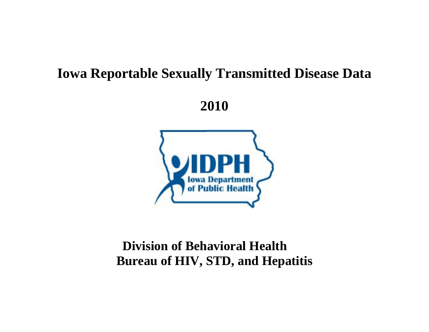# **Iowa Reportable Sexually Transmitted Disease Data**

**2010** 



# **Division of Behavioral Health Bureau of HIV, STD, and Hepatitis**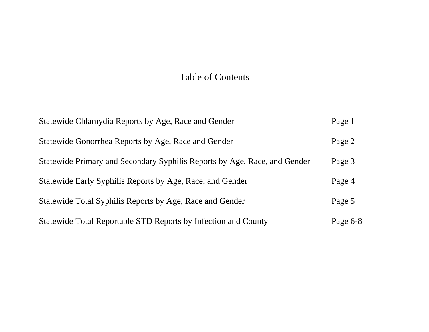# Table of Contents

| Statewide Chlamydia Reports by Age, Race and Gender                       | Page 1     |
|---------------------------------------------------------------------------|------------|
| Statewide Gonorrhea Reports by Age, Race and Gender                       | Page 2     |
| Statewide Primary and Secondary Syphilis Reports by Age, Race, and Gender | Page 3     |
| Statewide Early Syphilis Reports by Age, Race, and Gender                 | Page 4     |
| Statewide Total Syphilis Reports by Age, Race and Gender                  | Page 5     |
| Statewide Total Reportable STD Reports by Infection and County            | Page $6-8$ |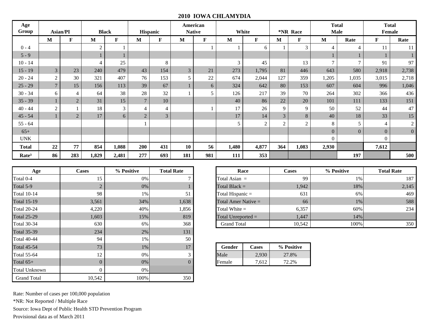#### **2010 IOWA CHLAMYDIA**

| Age<br>Group      | <b>Asian/PI</b> |                |                | <b>Black</b>   |                | <b>Hispanic</b> | American<br><b>Native</b> |     |       | White          |                | *NR Race       | <b>Total</b>   | <b>Male</b>    |                | <b>Total</b><br><b>Female</b> |
|-------------------|-----------------|----------------|----------------|----------------|----------------|-----------------|---------------------------|-----|-------|----------------|----------------|----------------|----------------|----------------|----------------|-------------------------------|
|                   | $\mathbf{M}$    | F              | M              | F              | M              | F               | M                         | F   | M     | F              | $\mathbf{M}$   | F              | M              | Rate           | $\mathbf F$    | Rate                          |
| $0 - 4$           |                 |                | $\overline{c}$ |                |                |                 |                           |     |       | 6              |                | 3              | 4              | $\overline{4}$ | 11             | 11                            |
| $5 - 9$           |                 |                | 1              |                |                |                 |                           |     |       |                |                |                |                |                |                |                               |
| $10 - 14$         |                 |                | $\overline{4}$ | 25             |                | 8               |                           |     | 3     | 45             |                | 13             | $\tau$         | 7              | 91             | 97                            |
| $15 - 19$         | $\mathfrak{Z}$  | 23             | 240            | 479            | 43             | 154             | $\overline{3}$            | 21  | 273   | 1,795          | 81             | 446            | 643            | 580            | 2,918          | 2,738                         |
| $20 - 24$         | $\overline{2}$  | 30             | 321            | 407            | 76             | 153             | 5                         | 22  | 674   | 2,044          | 127            | 359            | 1,205          | 1,035          | 3,015          | 2,718                         |
| $25 - 29$         | $\overline{7}$  | 15             | 156            | 113            | 39             | 67              |                           | 6   | 324   | 642            | 80             | 153            | 607            | 604            | 996            | 1,046                         |
| $30 - 34$         | 6               | $\overline{4}$ | 64             | 38             | 28             | 32              |                           | 5   | 126   | 217            | 39             | 70             | 264            | 302            | 366            | 436                           |
| $35 - 39$         |                 | $\overline{2}$ | 31             | 15             | $\overline{7}$ | 10              |                           |     | 40    | 86             | $22\,$         | 20             | 101            | 111            | 133            | 151                           |
| $40 - 44$         | 2               |                | 18             | $\mathfrak{Z}$ | $\overline{4}$ | 4               |                           |     | 17    | 26             | 9              | 9              | 50             | 52             | 44             | 47                            |
| $45 - 54$         |                 | $\overline{2}$ | 17             | 6              | $\overline{2}$ | 3               |                           |     | 17    | 14             | $\overline{3}$ | 8              | 40             | $18\,$         | 33             | 15                            |
| $55 - 64$         |                 |                |                |                |                |                 |                           |     | 5     | $\overline{2}$ | $\overline{2}$ | $\overline{c}$ | 8              | 5              | $\overline{4}$ | $\overline{c}$                |
| $65+$             |                 |                |                |                |                |                 |                           |     |       |                |                |                | $\overline{0}$ | $\mathbf{0}$   | $\overline{0}$ | $\mathbf{0}$                  |
| <b>UNK</b>        |                 |                |                |                |                |                 |                           |     |       |                |                |                | $\overline{0}$ |                | $\mathbf{0}$   |                               |
| Total             | 22              | 77             | 854            | 1,088          | 200            | 431             | 10                        | 56  | 1,480 | 4,877          | 364            | 1,083          | 2,930          |                | 7,612          |                               |
| Rate <sup>3</sup> | 86              | 283            | 1,829          | 2,481          | 277            | 693             | 181                       | 981 | 111   | 353            |                |                |                | 197            |                | 500                           |

| Age                  | <b>Cases</b>   | % Positive | <b>Total Rate</b> |                       | Race         | <b>Cases</b> |  |
|----------------------|----------------|------------|-------------------|-----------------------|--------------|--------------|--|
| Total 0-4            | 15             | 0%         |                   | Total Asian $=$       |              | 99           |  |
| Total 5-9            | $\overline{2}$ | $0\%$      |                   | Total Black $=$       |              | 1,942        |  |
| <b>Total 10-14</b>   | 98             | 1%         | 51                | Total Hispanic =      |              | 631          |  |
| <b>Total 15-19</b>   | 3,561          | 34%        | 1,638             | Total Amer Native $=$ |              | 66           |  |
| <b>Total 20-24</b>   | 4,220          | 40%        | 1,856             | Total White $=$       |              | 6,357        |  |
| <b>Total 25-29</b>   | 1,603          | 15%        | 819               | Total Unreported $=$  |              | 1,447        |  |
| <b>Total 30-34</b>   | 630            | 6%         | 368               | <b>Grand Total</b>    |              | 10,542       |  |
| <b>Total 35-39</b>   | 234            | 2%         | 131               |                       |              |              |  |
| <b>Total 40-44</b>   | 94             | 1%         | 50                |                       |              |              |  |
| <b>Total 45-54</b>   | 73             | $1\%$      | 17                | Gender                | <b>Cases</b> | % Positive   |  |
| <b>Total 55-64</b>   | 12             | 0%         | 3                 | Male                  | 2,930        | 27.8%        |  |
| Total $65+$          | $\theta$       | 0%         |                   | Female                | 7,612        | 72.2%        |  |
| <b>Total Unknown</b> | $\theta$       | $0\%$      |                   |                       |              |              |  |
| <b>Grand Total</b>   | 10,542         | 100%       | 350               |                       |              |              |  |

| Age         | Cases | % Positive | <b>Total Rate</b> | Race                  | Cases  | % Positive | <b>Total Rate</b> |
|-------------|-------|------------|-------------------|-----------------------|--------|------------|-------------------|
| Total 0-4   |       | 0%         |                   | Total Asian $=$       | 99     | $1\%$      | 187               |
| Total 5-9   |       | 0%         |                   | Total Black $=$       | 1,942  | 18%        | 2,145             |
| Total 10-14 | 98    | 1%         | 51                | Total Hispanic $=$    | 631    | 6%         | 469               |
| Total 15-19 | 3,561 | 34%        | 1,638             | Total Amer Native $=$ | 66     | $1\%$      | 588               |
| Total 20-24 | 4,220 | 40%        | 1,856             | Total White $=$       | 6,357  | 60%        | 234               |
| Total 25-29 | 1,603 | 15%        | 819               | Total Unreported $=$  | 1.447  | 14%        |                   |
| Total 30-34 | 630   | 6%         | 368               | <b>Grand Total</b>    | 10.542 | 100%       | 350               |

| Gender | Cases | % Positive |
|--------|-------|------------|
| Male   | 2.930 | 27.8%      |
| Female | 7.612 | $12.2\%$   |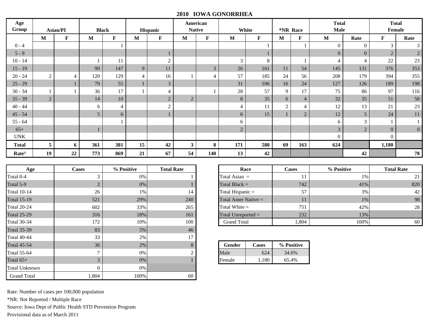### **2010 IOWA GONORRHEA**

| Age               |                |                |     |              |                |                         |                | American       |                |             |          |                | <b>Total</b>   |                | <b>Total</b>   |                |
|-------------------|----------------|----------------|-----|--------------|----------------|-------------------------|----------------|----------------|----------------|-------------|----------|----------------|----------------|----------------|----------------|----------------|
| Group             |                | Asian/PI       |     | <b>Black</b> |                | Hispanic                |                | <b>Native</b>  |                | White       | *NR Race |                | <b>Male</b>    |                |                | Female         |
|                   | $\mathbf M$    | $\mathbf{F}$   | M   | $\mathbf{F}$ | M              | $\mathbf F$             | M              | $\mathbf F$    | M              | $\mathbf F$ | M        | F              | M              | Rate           | $\mathbf F$    | Rate           |
| $0 - 4$           |                |                |     |              |                |                         |                |                |                |             |          |                | $\overline{0}$ | $\overline{0}$ | $\mathfrak{Z}$ | 3              |
| $5 - 9$           |                |                |     |              |                |                         |                |                |                |             |          |                | $\mathbf{0}$   | $\mathbf{0}$   | $\overline{2}$ | $\overline{2}$ |
| $10 - 14$         |                |                |     | 11           |                | $\mathcal{D}_{1}^{(1)}$ |                |                | 3              | 8           |          |                | $\overline{4}$ | $\overline{4}$ | 22             | 23             |
| $15 - 19$         |                |                | 99  | 147          | 9              | 11                      |                | $\overline{3}$ | 26             | 161         | 11       | 54             | 145            | 131            | 376            | 353            |
| $20 - 24$         | 2              | $\overline{4}$ | 120 | 129          | $\overline{4}$ | 16                      |                | $\overline{4}$ | 57             | 185         | 24       | 56             | 208            | 179            | 394            | 355            |
| $25 - 29$         |                |                | 79  | 55           | $\mathbf{1}$   | 3                       |                |                | 31             | 106         | 16       | 24             | 127            | 126            | 189            | 198            |
| $30 - 34$         |                |                | 36  | 17           |                |                         |                |                | 28             | 57          | 9        | 17             | 75             | 86             | 97             | 116            |
| $35 - 39$         | $\overline{2}$ |                | 14  | $10\,$       |                | $\overline{2}$          | $\overline{2}$ |                | 8              | 35          | 6        | $\overline{4}$ | 32             | 35             | 51             | 58             |
| $40 - 44$         |                |                | 6   | 4            |                | $\Omega$                |                |                | $\overline{4}$ | 11          | $\gamma$ | $\overline{4}$ | 12             | 13             | 21             | 23             |
| $45 - 54$         |                |                | 5   | 6            |                |                         |                |                | 6              | 15          |          | $\overline{2}$ | 12             | $\sqrt{5}$     | 24             | 11             |
| $55 - 64$         |                |                |     |              |                |                         |                |                | 6              |             |          |                | 6              | 3              |                |                |
| $65+$             |                |                | ш   |              |                |                         |                |                | $\sqrt{2}$     |             |          |                | $\overline{3}$ | $\sqrt{2}$     | $\overline{0}$ | $\overline{0}$ |
| <b>UNK</b>        |                |                |     |              |                |                         |                |                |                |             |          |                | $\Omega$       |                | $\overline{0}$ |                |
| <b>Total</b>      | 5              | 6              | 361 | 381          | 15             | 42                      | 3              | 8              | 171            | 580         | 69       | 163            | 624            |                | 1,180          |                |
| Rate <sup>3</sup> | 19             | 22             | 773 | 869          | 21             | 67                      | 54             | 140            | 13             | 42          |          |                |                | 42             |                | 78             |

Г

| Age                | <b>Cases</b>   | % Positive | <b>Total Rate</b> |                       | Race         | <b>Cases</b> |  |
|--------------------|----------------|------------|-------------------|-----------------------|--------------|--------------|--|
| Total 0-4          | 3              | $0\%$      |                   | Total Asian $=$       |              | 11           |  |
| Total 5-9          | $\overline{2}$ | 0%         |                   | Total Black $=$       |              | 742          |  |
| <b>Total 10-14</b> | 26             | 1%         | 14                | Total Hispanic =      |              | 57           |  |
| <b>Total 15-19</b> | 521            | 29%        | 240               | Total Amer Native $=$ |              | 11           |  |
| <b>Total 20-24</b> | 602            | 33%        | 265               | Total White $=$       |              | 751          |  |
| <b>Total 25-29</b> | 316            | 18%        | 161               | Total Unreported $=$  | 232          |              |  |
| Total 30-34        | 172            | 10%        | 100               | <b>Grand Total</b>    | 1,804        |              |  |
| <b>Total 35-39</b> | 83             | 5%         | 46                |                       |              |              |  |
| Total 40-44        | 33             | 2%         | 17                |                       |              |              |  |
| <b>Total 45-54</b> | 36             | 2%         | 8                 | Gender                | <b>Cases</b> | % Positive   |  |
| Total 55-64        | 7              | $0\%$      | $\overline{c}$    | Male                  | 624          | 34.6%        |  |
| Total $65+$        | 3              | $0\%$      |                   | Female                | 1,180        | 65.4%        |  |
| Total Unknown      | 0              | $0\%$      |                   |                       |              |              |  |
| <b>Grand Total</b> | 1,804          | 100%       | 60                |                       |              |              |  |

|                             | % Positive | <b>Total Rate</b> | Race                  | Cases | % Positive | <b>Total Rate</b> |
|-----------------------------|------------|-------------------|-----------------------|-------|------------|-------------------|
|                             | $0\%$      |                   | Total Asian $=$       | 11    | 1%         | 21                |
| $\bigcap$<br>$\overline{ }$ | 0%         |                   | Total Black $=$       | 742   | 41%        | 820               |
| 26                          | 1%         | 14                | Total Hispanic =      | 57    | 3%1        | 42                |
| 521                         | 29%        | 240               | Total Amer Native $=$ | 11    | $1\%$      | 98                |
| 602                         | 33%        | 265               | Total White $=$       | 751   | 42%        | 28                |
| 316                         | 18%        | 161               | Total Unreported $=$  | 232   | 13%        |                   |
| 172                         | 10%        | 100               | <b>Grand Total</b>    | 1.804 | 100%       | 60                |
| $\Omega$                    | $\sim$ 0.1 | $\sqrt{2}$        |                       |       |            |                   |

| 8 | Gender | <b>Cases</b> | % Positive |
|---|--------|--------------|------------|
| 2 | Male   | 624          | 34.6%      |
|   | Female | 180          | 65.4%      |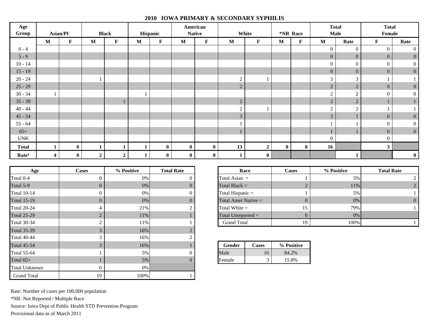## **2010 IOWA PRIMARY & SECONDARY SYPHILIS**

| Age<br>Group              | Asian/PI                |             |                  | <b>Black</b>   |   | Hispanic     |          | American<br><b>Native</b> |                | White        | *NR Race |             | <b>Total</b><br><b>Male</b> |                  | <b>Total</b><br>Female |                  |
|---------------------------|-------------------------|-------------|------------------|----------------|---|--------------|----------|---------------------------|----------------|--------------|----------|-------------|-----------------------------|------------------|------------------------|------------------|
|                           | $\mathbf{M}$            | $\mathbf F$ | $\mathbf{M}$     | $\mathbf F$    | M | $\mathbf F$  | M        | $\mathbf{F}$              | $\mathbf{M}$   | $\mathbf F$  | M        | $\mathbf F$ | $\mathbf{M}$                | Rate             | $\mathbf{F}$           | Rate             |
| $0 - 4$                   |                         |             |                  |                |   |              |          |                           |                |              |          |             | $\overline{0}$              | $\boldsymbol{0}$ | $\mathbf{0}$           | $\overline{0}$   |
| $5 - 9$                   |                         |             |                  |                |   |              |          |                           |                |              |          |             | $\overline{0}$              | $\overline{0}$   | $\overline{0}$         | $\overline{0}$   |
| $10 - 14$                 |                         |             |                  |                |   |              |          |                           |                |              |          |             | $\overline{0}$              | $\mathbf{0}$     | $\overline{0}$         | $\vert$ 0        |
| $15 - 19$                 |                         |             |                  |                |   |              |          |                           |                |              |          |             | $\overline{0}$              | $\mathbf{0}$     | $\overline{0}$         | $\vert 0 \vert$  |
| $20 - 24$                 |                         |             |                  |                |   |              |          |                           | $\overline{2}$ |              |          |             | 3                           | 3                |                        |                  |
| $25 - 29$                 |                         |             |                  |                |   |              |          |                           | $\overline{2}$ |              |          |             | 2                           | $\overline{2}$   | $\overline{0}$         | $\overline{0}$   |
| $30 - 34$                 |                         |             |                  |                |   |              |          |                           |                |              |          |             | $\gamma$                    | $\gamma$<br>∠    | $\Omega$               | $\vert$ 0        |
| $35 - 39$                 |                         |             |                  |                |   |              |          |                           | $\overline{2}$ |              |          |             | $\overline{2}$              | $\overline{2}$   |                        |                  |
| $40 - 44$                 |                         |             |                  |                |   |              |          |                           | $\overline{2}$ |              |          |             | $\gamma$                    | $\overline{2}$   |                        |                  |
| $45 - 54$                 |                         |             |                  |                |   |              |          |                           | $\mathfrak{Z}$ |              |          |             | 3                           |                  | $\overline{0}$         | $\mathbf{0}$     |
| $55 - 64$                 |                         |             |                  |                |   |              |          |                           |                |              |          |             |                             |                  | $\overline{0}$         | $\vert 0 \vert$  |
| $65+$                     |                         |             |                  |                |   |              |          |                           |                |              |          |             |                             |                  | $\overline{0}$         | $\vert 0 \vert$  |
| $\ensuremath{\text{UNK}}$ |                         |             |                  |                |   |              |          |                           |                |              |          |             | $\overline{0}$              |                  | $\overline{0}$         |                  |
| <b>Total</b>              |                         | $\bf{0}$    |                  |                | 1 | $\mathbf{0}$ | $\bf{0}$ | $\mathbf{0}$              | 13             | $\mathbf{2}$ | $\bf{0}$ | $\bf{0}$    | 16                          |                  | $\mathbf{3}$           |                  |
| Rate <sup>3</sup>         | $\overline{\mathbf{4}}$ | $\bf{0}$    | $\boldsymbol{2}$ | $\overline{2}$ | 1 | $\bf{0}$     | $\bf{0}$ | $\bf{0}$                  |                | $\mathbf{0}$ |          |             |                             |                  |                        | $\boldsymbol{0}$ |

| Age                  | <b>Cases</b>   | % Positive | <b>Total Rate</b> | Race                  |                      | Cases      |  |
|----------------------|----------------|------------|-------------------|-----------------------|----------------------|------------|--|
| Total 0-4            | $\theta$       | 0%         | 0                 | Total Asian $=$       |                      |            |  |
| Total 5-9            | $\Omega$       | $0\%$      | $\Omega$          | Total Black $=$       |                      |            |  |
| <b>Total 10-14</b>   | $\Omega$       | 0%         | $\Omega$          | Total Hispanic =      |                      |            |  |
| <b>Total 15-19</b>   | $\overline{0}$ | $0\%$      | $\Omega$          | Total Amer Native $=$ |                      | 0          |  |
| <b>Total 20-24</b>   | 4              | 21%        | 2                 | Total White $=$       |                      | 15         |  |
| <b>Total 25-29</b>   | $\overline{2}$ | 11%        |                   |                       | Total Unreported $=$ |            |  |
| <b>Total 30-34</b>   | $\overline{2}$ | 11%        |                   | <b>Grand Total</b>    | 19                   |            |  |
| <b>Total 35-39</b>   | 3              | 16%        |                   |                       |                      |            |  |
| <b>Total 40-44</b>   | 3              | 16%        | $\mathfrak{D}$    |                       |                      |            |  |
| <b>Total 45-54</b>   | 3              | 16%        |                   | Gender                | <b>Cases</b>         | % Positive |  |
| <b>Total 55-64</b>   |                | 5%         | 0                 | Male                  | 16                   | 84.2%      |  |
| Total $65+$          |                | 5%         | 0                 | Female                | 3                    | 15.8%      |  |
| <b>Total Unknown</b> | $\mathbf{0}$   | $0\%$      |                   |                       |                      |            |  |
| <b>Grand Total</b>   | 19             | 100%       |                   |                       |                      |            |  |

| % Positive | <b>Total Rate</b> | Race                  | <b>Cases</b> | % Positive | <b>Total Rate</b> |
|------------|-------------------|-----------------------|--------------|------------|-------------------|
| 0%         |                   | Total Asian $=$       |              | 5%         |                   |
| 0%         |                   | Total Black $=$       |              | 11%        |                   |
| 0%         |                   | Total Hispanic $=$    |              | 5%         |                   |
| $0\%$      |                   | Total Amer Native $=$ | υ            | $0\%$      |                   |
| 21%        |                   | Total White $=$       | 15           | 79%        |                   |
| 11%        |                   | Total Unreported $=$  |              | 0%         |                   |
| 11%        |                   | <b>Grand Total</b>    | 19           | 100%       |                   |

|                        | Gender | Cases | % Positive |
|------------------------|--------|-------|------------|
| 0                      | Male   | 16    | 84.2%      |
| 0<br><b>CONTRACTOR</b> | Female | ت     | 15.8%      |

Rate: Number of cases per 100,000 population \*NR: Not Reported / Multiple Race Source: Iowa Dept of Public Health STD Prevention Program

Provisional data as of March 2011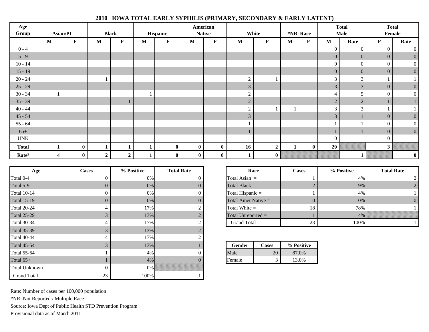| Age<br>Group      | Asian/PI |             |                | <b>Black</b> |              | Hispanic    |              | American<br><b>Native</b> |                | White            |   | *NR Race     |                  | <b>Total</b><br><b>Male</b> |                | <b>Total</b><br>Female |
|-------------------|----------|-------------|----------------|--------------|--------------|-------------|--------------|---------------------------|----------------|------------------|---|--------------|------------------|-----------------------------|----------------|------------------------|
|                   | M        | $\mathbf F$ | $\mathbf{M}$   | $\mathbf F$  | $\mathbf{M}$ | $\mathbf F$ | $\mathbf M$  | $\mathbf F$               | $\mathbf{M}$   | $\mathbf F$      | M | $\mathbf F$  | $\mathbf M$      | Rate                        | $\mathbf F$    | Rate                   |
| $0 - 4$           |          |             |                |              |              |             |              |                           |                |                  |   |              | $\mathbf{0}$     | $\boldsymbol{0}$            | $\overline{0}$ | $\overline{0}$         |
| $5 - 9$           |          |             |                |              |              |             |              |                           |                |                  |   |              | $\overline{0}$   | $\overline{0}$              | $\overline{0}$ | $\overline{0}$         |
| $10 - 14$         |          |             |                |              |              |             |              |                           |                |                  |   |              | $\mathbf{0}$     | $\boldsymbol{0}$            | $\overline{0}$ | $\vert 0 \vert$        |
| $15 - 19$         |          |             |                |              |              |             |              |                           |                |                  |   |              | $\overline{0}$   | $\mathbf{0}$                | $\overline{0}$ | $\overline{0}$         |
| $20 - 24$         |          |             |                |              |              |             |              |                           | $\bigcap$<br>∠ |                  |   |              | 3                | 3                           |                |                        |
| $25 - 29$         |          |             |                |              |              |             |              |                           | 3 <sup>1</sup> |                  |   |              | $\mathfrak{Z}$   | $\mathfrak{Z}$              | $\mathbf{0}$   | $\overline{0}$         |
| $30 - 34$         |          |             |                |              |              |             |              |                           | $\gamma$<br>∠  |                  |   |              | 4                | 5                           | $\overline{0}$ | $\vert 0 \vert$        |
| $35 - 39$         |          |             |                | ı            |              |             |              |                           | $\overline{2}$ |                  |   |              | $\sqrt{2}$       | $\overline{2}$              |                |                        |
| $40 - 44$         |          |             |                |              |              |             |              |                           | $\gamma$<br>∠  |                  |   |              | $\mathfrak{Z}$   | 3                           |                |                        |
| $45 - 54$         |          |             |                |              |              |             |              |                           | 3 <sup>1</sup> |                  |   |              | $\mathfrak{Z}$   | 1                           | $\overline{0}$ | $\mathbf{0}$           |
| $55 - 64$         |          |             |                |              |              |             |              |                           |                |                  |   |              |                  |                             | $\overline{0}$ | $\vert 0 \vert$        |
| $65+$             |          |             |                |              |              |             |              |                           |                |                  |   |              |                  |                             | $\overline{0}$ | $\vert 0 \vert$        |
| <b>UNK</b>        |          |             |                |              |              |             |              |                           |                |                  |   |              | $\boldsymbol{0}$ |                             | $\overline{0}$ |                        |
| <b>Total</b>      |          | $\bf{0}$    |                |              |              | $\pmb{0}$   | $\mathbf{0}$ | $\bf{0}$                  | 16             | $\boldsymbol{2}$ |   | $\mathbf{0}$ | 20               |                             | $\mathbf{3}$   |                        |
| Rate <sup>3</sup> | 4        | $\bf{0}$    | $\overline{2}$ | $\mathbf{2}$ |              | $\bf{0}$    | $\bf{0}$     | $\bf{0}$                  |                | $\mathbf{0}$     |   |              |                  |                             |                | $\boldsymbol{0}$       |

| Age                  | <b>Cases</b>  | % Positive | <b>Total Rate</b> |                  | Race                  | Cases      |                      |  |  |  |  |
|----------------------|---------------|------------|-------------------|------------------|-----------------------|------------|----------------------|--|--|--|--|
| Total 0-4            | $\Omega$      | 0%         | 0                 | Total Asian $=$  |                       |            |                      |  |  |  |  |
| Total 5-9            | $\Omega$      | 0%         | $\theta$          |                  | Total Black $=$       |            |                      |  |  |  |  |
| <b>Total 10-14</b>   | $\Omega$      | 0%         | $\theta$          | Total Hispanic = |                       |            |                      |  |  |  |  |
| <b>Total 15-19</b>   | $\Omega$      | 0%         | $\theta$          |                  | Total Amer Native $=$ |            |                      |  |  |  |  |
| <b>Total 20-24</b>   | 4             | 17%        | $\overline{2}$    |                  | Total White $=$       |            |                      |  |  |  |  |
| <b>Total 25-29</b>   | 3             | 13%        | $\overline{2}$    |                  |                       |            | Total Unreported $=$ |  |  |  |  |
| <b>Total 30-34</b>   | 4             | 17%        | $\overline{2}$    |                  | <b>Grand Total</b>    |            |                      |  |  |  |  |
| <b>Total 35-39</b>   | 3             | 13%        | 2                 |                  |                       |            |                      |  |  |  |  |
| <b>Total 40-44</b>   | 4             | 17%        | $\overline{2}$    |                  |                       |            |                      |  |  |  |  |
| <b>Total 45-54</b>   | $\mathcal{R}$ | 13%        |                   | <b>Gender</b>    | <b>Cases</b>          | % Positive |                      |  |  |  |  |
| Total 55-64          |               | 4%         | $\Omega$          | Male             | 20                    | 87.0%      |                      |  |  |  |  |
| Total $65+$          |               | 4%         | $\theta$          | Female           | 3                     | 13.0%      |                      |  |  |  |  |
| <b>Total Unknown</b> | $\theta$      | 0%         |                   |                  |                       |            |                      |  |  |  |  |
| <b>Grand Total</b>   | 23            | 100%       |                   |                  |                       |            |                      |  |  |  |  |

|         | % Positive | <b>Total Rate</b>   | Race                  | <b>Cases</b> | % Positive | <b>Total Rate</b> |
|---------|------------|---------------------|-----------------------|--------------|------------|-------------------|
|         | 0%         |                     | Total Asian $=$       |              | 4%         |                   |
| $0^-$   | $0\%$      |                     | Total Black $=$       |              | 9%         |                   |
| 0       | $0\%$      |                     | Total Hispanic =      |              | 4%         |                   |
| $\rm 0$ | 0%         |                     | Total Amer Native $=$ |              | 0%         |                   |
|         | 17%        | ◠<br>$\overline{ }$ | Total White $=$       | 18           | 78%        |                   |
|         | 13%        | ◠<br>$\overline{ }$ | Total Unreported $=$  |              | 4%         |                   |
|         | 17%        | ◠<br>∠              | <b>Grand Total</b>    | 23           | 100%       |                   |

|   | Gender | Cases | % Positive |
|---|--------|-------|------------|
| 0 | Male   |       | 87.0%      |
| 0 | Female |       | 13.0%      |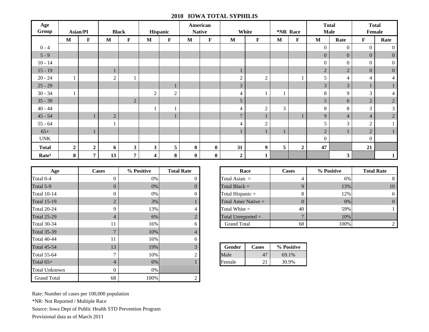### **2010 IOWA TOTAL SYPHILIS**

| Age<br>Group      |                | <b>Asian/PI</b> |              | <b>Black</b>   |                         | Hispanic       |          | American<br><b>Native</b> |                  | White          |                | *NR Race         |                | <b>Total</b><br><b>Male</b> |                | <b>Total</b><br>Female |
|-------------------|----------------|-----------------|--------------|----------------|-------------------------|----------------|----------|---------------------------|------------------|----------------|----------------|------------------|----------------|-----------------------------|----------------|------------------------|
|                   | M              | $\mathbf F$     | $\mathbf{M}$ | F              | $\mathbf M$             | $\mathbf F$    | M        | $\mathbf F$               | M                | $\mathbf F$    | $\mathbf M$    | F                | $\mathbf M$    | Rate                        | $\mathbf F$    | Rate                   |
| $0 - 4$           |                |                 |              |                |                         |                |          |                           |                  |                |                |                  | $\overline{0}$ | $\overline{0}$              | $\overline{0}$ | $\boldsymbol{0}$       |
| $5 - 9$           |                |                 |              |                |                         |                |          |                           |                  |                |                |                  | $\overline{0}$ | $\overline{0}$              | $\overline{0}$ | $\boldsymbol{0}$       |
| $10 - 14$         |                |                 |              |                |                         |                |          |                           |                  |                |                |                  | $\overline{0}$ | $\overline{0}$              | $\overline{0}$ | $\boldsymbol{0}$       |
| $15 - 19$         |                |                 |              |                |                         |                |          |                           | 1                |                |                |                  | $\overline{c}$ | $\overline{2}$              | $\overline{0}$ | $\mathbf{0}$           |
| $20 - 24$         |                |                 | 2            |                |                         |                |          |                           | $\overline{2}$   | $\sqrt{2}$     |                |                  | 5              | 4                           | 4              | $\overline{4}$         |
| $25 - 29$         |                |                 |              |                |                         |                |          |                           | $\overline{3}$   |                |                |                  | $\overline{3}$ | $\mathfrak{Z}$              |                |                        |
| $30 - 34$         |                |                 |              |                | $\overline{2}$          | $\overline{2}$ |          |                           | $\overline{4}$   |                |                |                  | 8              | 9                           | 3              | 4                      |
| $35 - 39$         |                |                 |              | $\sqrt{2}$     |                         |                |          |                           | 5                |                |                |                  | 5              | 6                           | $\sqrt{2}$     | $\sqrt{2}$             |
| $40 - 44$         |                |                 |              |                |                         |                |          |                           | $\overline{4}$   | $\mathbf{2}$   | $\mathfrak{Z}$ |                  | 8              | 8                           | 3              | 3                      |
| $45 - 54$         |                |                 | $\sqrt{2}$   |                |                         |                |          |                           | $\overline{7}$   |                |                |                  | $\overline{9}$ | $\overline{4}$              | $\overline{4}$ | $\overline{c}$         |
| $55 - 64$         |                |                 |              |                |                         |                |          |                           | $\overline{4}$   | $\overline{c}$ |                |                  | 5              | 3                           | $\overline{c}$ |                        |
| $65+$             |                |                 |              |                |                         |                |          |                           |                  |                |                |                  | $\overline{c}$ |                             | $\overline{2}$ | ı.                     |
| <b>UNK</b>        |                |                 |              |                |                         |                |          |                           |                  |                |                |                  | $\overline{0}$ |                             | $\overline{0}$ |                        |
| <b>Total</b>      | $\overline{2}$ | $\mathbf{2}$    | 6            | $\mathbf{3}$   | $\overline{\mathbf{3}}$ | 5              | $\bf{0}$ | $\bf{0}$                  | 31               | 9              | 5              | $\boldsymbol{2}$ | 47             |                             | 21             |                        |
| Rate <sup>3</sup> | 8              | $\overline{7}$  | 13           | $\overline{7}$ | $\overline{\mathbf{4}}$ | 8              | $\bf{0}$ | $\bf{0}$                  | $\boldsymbol{2}$ | 1              |                |                  |                | 3                           |                | $\mathbf{1}$           |

| Age                  | <b>Cases</b>   | % Positive | <b>Total Rate</b> |                 | Race                  | <b>Cases</b> |  |  |  |
|----------------------|----------------|------------|-------------------|-----------------|-----------------------|--------------|--|--|--|
| Total 0-4            | $\theta$       | 0%         | $\theta$          |                 | Total Asian $=$       |              |  |  |  |
| Total 5-9            | 0              | 0%         | $\Omega$          |                 | Total Black $=$       |              |  |  |  |
| <b>Total 10-14</b>   | 0              | 0%         | $\Omega$          |                 | Total Hispanic $=$    |              |  |  |  |
| <b>Total 15-19</b>   | $\overline{2}$ | 3%         |                   |                 | Total Amer Native $=$ |              |  |  |  |
| <b>Total 20-24</b>   | 9              | 13%        | 4                 | Total White $=$ |                       |              |  |  |  |
| <b>Total 25-29</b>   | 4              | 6%         | $\overline{2}$    |                 | Total Unreported $=$  |              |  |  |  |
| <b>Total 30-34</b>   | 11             | 16%        | 6                 |                 | <b>Grand Total</b>    |              |  |  |  |
| <b>Total 35-39</b>   | $\mathbf{7}$   | 10%        | 4                 |                 |                       |              |  |  |  |
| <b>Total 40-44</b>   | 11             | 16%        | 6                 |                 |                       |              |  |  |  |
| <b>Total 45-54</b>   | 13             | 19%        | 3                 | <b>Gender</b>   | <b>Cases</b>          | % Positive   |  |  |  |
| <b>Total 55-64</b>   | 7              | 10%        | $\mathfrak{D}$    | Male            | 47                    | 69.1%        |  |  |  |
| Total $65+$          | 4              | 6%         |                   | Female          | 21                    | 30.9%        |  |  |  |
| <b>Total Unknown</b> | 0              | 0%         |                   |                 |                       |              |  |  |  |
| <b>Grand Total</b>   | 68             | 100%       | 2                 |                 |                       |              |  |  |  |

|                | % Positive | <b>Total Rate</b> | Race                  | <b>Cases</b> | % Positive | <b>Total Rate</b> |
|----------------|------------|-------------------|-----------------------|--------------|------------|-------------------|
| $\overline{0}$ | 0%         |                   | Total Asian $=$       |              | 6%         | 8                 |
| $\overline{0}$ | $0\%$      |                   | Total Black $=$       |              | 13%        | 10                |
| $\theta$       | 0%         |                   | Total Hispanic $=$    | 8.           | 12%        | 6                 |
| $\overline{2}$ | 3%         |                   | Total Amer Native $=$ | O            | $0\%$      | $\theta$          |
| 9              | 13%        |                   | Total White $=$       | 40           | 59%        |                   |
| 4              | 6%         |                   | Total Unreported $=$  | $\mathbf{r}$ | 10%        |                   |
| 11             | 16%        |                   | <b>Grand Total</b>    | 68           | 100%       |                   |

| 3      | Gender | Cases | % Positive |
|--------|--------|-------|------------|
| ◠<br>∠ | Male   |       | 69.1%      |
|        | Female |       | 30.9%      |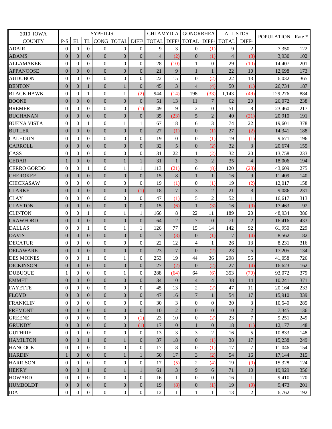| 2010 IOWA          | <b>SYPHILIS</b>  |                  |                  |                  | <b>CHLAMYDIA</b>             |                  | <b>GONORRHEA</b>        |                  | <b>ALL STDS</b>  |                   | <b>POPULATION</b> | Rate *            |         |     |
|--------------------|------------------|------------------|------------------|------------------|------------------------------|------------------|-------------------------|------------------|------------------|-------------------|-------------------|-------------------|---------|-----|
| <b>COUNTY</b>      | $P-S$            | EL               | <b>TL</b>        |                  | CONG TOTAL DIFF <sup>1</sup> |                  | TOTAL DIFF <sup>1</sup> |                  | <b>TOTAL</b>     | DIFF <sup>1</sup> | <b>TOTAL</b>      | DIFF <sup>1</sup> |         |     |
| <b>ADAIR</b>       | $\mathbf{0}$     | $\mathbf{0}$     | $\Omega$         | $\theta$         | $\mathbf{0}$                 | $\Omega$         | 9                       | 3                | $\mathbf{0}$     | (1)               | 9                 | $\overline{c}$    | 7,350   | 122 |
| <b>ADAMS</b>       | $\theta$         | $\overline{0}$   | $\Omega$         | $\overline{0}$   | $\overline{0}$               | $\overline{0}$   | $\overline{4}$          | (2)              | $\overline{0}$   | (1)               | $\overline{4}$    | (3)               | 3,930   | 102 |
| <b>ALLAMAKEE</b>   | $\mathbf{0}$     | $\mathbf{0}$     | $\mathbf{0}$     | $\overline{0}$   | $\overline{0}$               | $\mathbf{0}$     | 28                      | (10)             | 1                | $\overline{0}$    | 29                | (10)              | 14,407  | 201 |
| <b>APPANOOSE</b>   | $\overline{0}$   | $\overline{0}$   | $\overline{0}$   | $\overline{0}$   | $\overline{0}$               | $\Omega$         | 21                      | $\mathbf{Q}$     | 1                | $\mathbf{1}$      | 22                | 10                | 12,698  | 173 |
| <b>AUDUBON</b>     | $\mathbf{0}$     | $\theta$         | $\theta$         | $\overline{0}$   | $\overline{0}$               | $\Omega$         | 22                      | 15               | $\theta$         | (2)               | 22                | 13                | 6,032   | 365 |
| <b>BENTON</b>      | $\mathbf{0}$     | $\overline{0}$   | 1                | $\boldsymbol{0}$ | 1                            | $\overline{0}$   | 45                      | 3                | $\overline{4}$   | (4)               | 50                | (1)               | 26,734  | 187 |
| <b>BLACK HAWK</b>  | $\mathbf{0}$     | $\theta$         | 1                | $\overline{0}$   | 1                            | (2)              | 944                     | (14)             | 198              | (33)              | 1,143             | (49)              | 129,276 | 884 |
| <b>BOONE</b>       | $\mathbf{0}$     | $\overline{0}$   | $\overline{0}$   | $\overline{0}$   | $\overline{0}$               | $\Omega$         | 51                      | 13               | 11               | 7                 | 62                | $20\,$            | 26,072  | 238 |
| <b>BREMER</b>      | $\theta$         | $\mathbf{0}$     | $\overline{0}$   | $\overline{0}$   | $\overline{0}$               | (1)              | 49                      | 9                | $\overline{c}$   | $\mathbf{0}$      | 51                | 8                 | 23,460  | 217 |
| <b>BUCHANAN</b>    | $\boldsymbol{0}$ | $\mathbf{0}$     | $\overline{0}$   | $\overline{0}$   | $\overline{0}$               | $\overline{0}$   | 35                      | (23)             | 5                | $\overline{2}$    | 40                | (21)              | 20,910  | 191 |
| <b>BUENA VISTA</b> | $\mathbf{0}$     | $\mathbf{0}$     | 1                | $\overline{0}$   | 1                            | 1                | 67                      | 18               | 6                | 3                 | 74                | 22                | 19,601  | 378 |
| <b>BUTLER</b>      | $\theta$         | $\overline{0}$   | $\overline{0}$   | $\overline{0}$   | $\overline{0}$               | $\overline{0}$   | 27                      | (1)              | $\overline{0}$   | (1)               | 27                | (2)               | 14,341  | 188 |
| <b>CALHOUN</b>     | $\mathbf{0}$     | $\mathbf{0}$     | $\mathbf{0}$     | $\overline{0}$   | $\boldsymbol{0}$             | $\theta$         | 19                      | $\theta$         | $\overline{0}$   | (1)               | 19                | (1)               | 9,671   | 196 |
| <b>CARROLL</b>     | $\overline{0}$   | $\overline{0}$   | $\overline{0}$   | $\overline{0}$   | $\overline{0}$               | $\overline{0}$   | 32                      | 5                | $\overline{0}$   | (2)               | 32                | 3                 | 20,674  | 155 |
| CASS               | $\mathbf{0}$     | $\boldsymbol{0}$ | $\theta$         | $\overline{0}$   | $\overline{0}$               | $\Omega$         | 31                      | 22               | 1                | (2)               | 32                | 20                | 13,758  | 233 |
| <b>CEDAR</b>       | 1                | $\overline{0}$   | $\overline{0}$   | $\boldsymbol{0}$ | 1                            | 1                | 31                      | 1                | 3                | $\overline{2}$    | 35                | $\overline{4}$    | 18,006  | 194 |
| <b>CERRO GORDO</b> | $\mathbf{0}$     | $\theta$         | 1                | $\overline{0}$   | 1                            | 1                | 113                     | (21)             | 6                | (8)               | 120               | (28)              | 43,609  | 275 |
| <b>CHEROKEE</b>    | $\boldsymbol{0}$ | $\overline{0}$   | $\overline{0}$   | $\overline{0}$   | $\overline{0}$               | $\Omega$         | 15                      | 8                | 1                | 1                 | 16                | 9                 | 11,409  | 140 |
| <b>CHICKASAW</b>   | $\theta$         | $\mathbf{0}$     | $\theta$         | $\overline{0}$   | $\theta$                     | $\Omega$         | 19                      | (1)              | $\overline{0}$   | (1)               | 19                | (2)               | 12,017  | 158 |
| <b>CLARKE</b>      | $\boldsymbol{0}$ | $\overline{0}$   | $\overline{0}$   | $\overline{0}$   | $\overline{0}$               | (1)              | 18                      | $\overline{7}$   | 3                | $\overline{2}$    | 21                | $\,8\,$           | 9,086   | 231 |
| <b>CLAY</b>        | $\mathbf{0}$     | $\mathbf{0}$     | $\mathbf{0}$     | $\overline{0}$   | $\mathbf{0}$                 | $\Omega$         | 47                      | (1)              | 5                | $\overline{2}$    | 52                | $\mathbf{1}$      | 16,617  | 313 |
| <b>CLAYTON</b>     | $\boldsymbol{0}$ | $\overline{0}$   | $\overline{0}$   | $\overline{0}$   | $\boldsymbol{0}$             | $\overline{0}$   | 15                      | (6)              | 1                | (3)               | 16                | (9)               | 17,463  | 92  |
| <b>CLINTON</b>     | $\mathbf{0}$     | $\mathbf{0}$     | 1                | $\overline{0}$   | 1                            | 1                | 166                     | 8                | 22               | 11                | 189               | 20                | 48,934  | 386 |
| <b>CRAWFORD</b>    | $\theta$         | $\overline{0}$   | $\overline{0}$   | $\overline{0}$   | $\overline{0}$               | $\overline{0}$   | 64                      | $\overline{2}$   | $7\phantom{.0}$  | $\mathbf{0}$      | 71                | $\overline{2}$    | 16,416  | 433 |
| <b>DALLAS</b>      | $\mathbf{0}$     | $\Omega$         | 1                | $\overline{0}$   |                              | 1                | 126                     | 77               | 15               | 14                | 142               | 92                | 61,950  | 229 |
| <b>DAVIS</b>       | $\mathbf{0}$     | $\overline{0}$   | $\overline{0}$   | $\boldsymbol{0}$ | $\overline{0}$               | $\overline{0}$   | $\overline{7}$          | (3)              | $\mathbf{0}$     | (1)               | $\overline{7}$    | (4)               | 8,562   | 82  |
| <b>DECATUR</b>     | $\mathbf{0}$     | $\theta$         | $\mathbf{0}$     | $\overline{0}$   | $\overline{0}$               | $\theta$         | 22                      | 12               | $\overline{4}$   | $\mathbf{1}$      | 26                | 13                | 8,231   | 316 |
| <b>DELAWARE</b>    | $\mathbf{0}$     | $\overline{0}$   | $\overline{0}$   | $\overline{0}$   | $\overline{0}$               | $\overline{0}$   | 23                      | $\overline{7}$   | $\overline{0}$   | (2)               | 23                | 5                 | 17,205  | 134 |
| <b>DES MOINES</b>  | $\mathbf{0}$     | $\mathbf{0}$     | 1                | $\overline{0}$   | 1                            | $\Omega$         | 253                     | 19               | 44               | 36                | 298               | 55                | 41,058  | 726 |
| <b>DICKINSON</b>   | $\boldsymbol{0}$ | $\mathbf{0}$     | $\mathbf{0}$     | $\boldsymbol{0}$ | $\boldsymbol{0}$             | $\boldsymbol{0}$ | 27                      | (2)              | $\boldsymbol{0}$ | (2)               | 27                | (4)               | 16,623  | 162 |
| <b>DUBUQUE</b>     | $\,1$            | $\boldsymbol{0}$ | $\boldsymbol{0}$ | $\boldsymbol{0}$ | $\mathbf{1}$                 | $\boldsymbol{0}$ | 288                     | (64)             | 64               | (6)               | 353               | (70)              | 93,072  | 379 |
| <b>EMMET</b>       | $\boldsymbol{0}$ | $\mathbf{0}$     | $\overline{0}$   | $\overline{0}$   | $\overline{0}$               | $\overline{0}$   | 34                      | 10               | $\overline{4}$   | 4                 | 38                | 14                | 10,241  | 371 |
| <b>FAYETTE</b>     | $\boldsymbol{0}$ | $\boldsymbol{0}$ | $\overline{0}$   | $\theta$         | $\boldsymbol{0}$             | $\overline{0}$   | 45                      | 13               | $\overline{c}$   | (2)               | 47                | 11                | 20,164  | 233 |
| <b>FLOYD</b>       | $\boldsymbol{0}$ | $\mathbf{0}$     | $\overline{0}$   | $\overline{0}$   | $\overline{0}$               | $\overline{0}$   | 47                      | 16               | $\overline{7}$   | $\mathbf{1}$      | 54                | 17                | 15,910  | 339 |
| <b>FRANKLIN</b>    | $\boldsymbol{0}$ | $\mathbf{0}$     | $\overline{0}$   | $\overline{0}$   | $\overline{0}$               | $\Omega$         | 30                      | 3                | $\overline{0}$   | 0                 | 30                | 3                 | 10,540  | 285 |
| <b>FREMONT</b>     | $\boldsymbol{0}$ | $\mathbf{0}$     | $\boldsymbol{0}$ | $\mathbf{0}$     | $\boldsymbol{0}$             | $\boldsymbol{0}$ | 10                      | $\overline{2}$   | $\mathbf{0}$     | $\boldsymbol{0}$  | 10                | $\sqrt{2}$        | 7,345   | 136 |
| <b>GREENE</b>      | $\boldsymbol{0}$ | $\mathbf{0}$     | $\theta$         | $\boldsymbol{0}$ | $\overline{0}$               | (1)              | 23                      | 10               | $\boldsymbol{0}$ | (2)               | 23                | $\boldsymbol{7}$  | 9,251   | 249 |
| <b>GRUNDY</b>      | $\boldsymbol{0}$ | $\mathbf{0}$     | $\overline{0}$   | $\boldsymbol{0}$ | $\overline{0}$               | (1)              | 17                      | $\boldsymbol{0}$ | $\mathbf{1}$     | $\mathbf{0}$      | 18                | (1)               | 12,177  | 148 |
| <b>GUTHRIE</b>     | $\boldsymbol{0}$ | $\overline{0}$   | $\overline{0}$   | $\overline{0}$   | $\overline{0}$               | $\theta$         | 13                      | 3                | 3                | 2                 | 16                | 5                 | 10,833  | 148 |
| <b>HAMILTON</b>    | $\boldsymbol{0}$ | $\mathbf{0}$     | 1                | $\boldsymbol{0}$ | 1                            | $\boldsymbol{0}$ | 37                      | 18               | $\mathbf{0}$     | (1)               | 38                | $17\,$            | 15,238  | 249 |
| <b>HANCOCK</b>     | $\boldsymbol{0}$ | $\mathbf{0}$     | $\mathbf{0}$     | $\theta$         | $\overline{0}$               | $\overline{0}$   | 17                      | 8                | $\overline{0}$   | (1)               | 17                | $\overline{7}$    | 11,046  | 154 |
| <b>HARDIN</b>      | $\mathbf{1}$     | $\mathbf{0}$     | $\overline{0}$   | $\boldsymbol{0}$ |                              |                  | 50                      | 17               | 3                | (2)               | 54                | 16                | 17,144  | 315 |
| <b>HARRISON</b>    | $\mathbf{0}$     | $\mathbf{0}$     | $\overline{0}$   | $\theta$         | $\boldsymbol{0}$             | $\overline{0}$   | 17                      | (5)              | $\overline{c}$   | (4)               | 19                | (9)               | 15,328  | 124 |
| <b>HENRY</b>       | $\mathbf{0}$     | $\mathbf{0}$     |                  | $\boldsymbol{0}$ | 1                            | 1                | 61                      | 3                | 9                | 6                 | 71                | 10                | 19,929  | 356 |
| <b>HOWARD</b>      | $\mathbf{0}$     | $\mathbf{0}$     | $\theta$         | $\overline{0}$   | $\overline{0}$               | $\overline{0}$   | 16                      | 1                | $\overline{0}$   | 0                 | 16                | 1                 | 9,410   | 170 |
| <b>HUMBOLDT</b>    | $\boldsymbol{0}$ | $\mathbf{0}$     | $\boldsymbol{0}$ | $\boldsymbol{0}$ | $\boldsymbol{0}$             | $\boldsymbol{0}$ | 19                      | (8)              | $\boldsymbol{0}$ | (1)               | 19                | (9)               | 9,473   | 201 |
| <b>IDA</b>         | $\boldsymbol{0}$ | $\boldsymbol{0}$ | $\boldsymbol{0}$ | $\boldsymbol{0}$ | $\boldsymbol{0}$             | $\overline{0}$   | 12                      | $\mathbf{1}$     | 1                | $\mathbf{1}$      | 13                | $\sqrt{2}$        | 6,762   | 192 |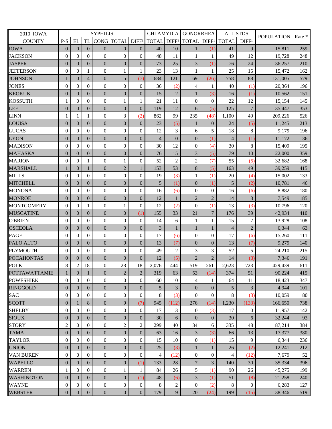| 2010 IOWA            | <b>SYPHILIS</b>  |                  |                  |                  | <b>CHLAMYDIA</b>             |                  | <b>GONORRHEA</b>   |                | <b>ALL STDS</b>         |                   | <b>POPULATION</b> | Rate *            |         |     |
|----------------------|------------------|------------------|------------------|------------------|------------------------------|------------------|--------------------|----------------|-------------------------|-------------------|-------------------|-------------------|---------|-----|
| <b>COUNTY</b>        | $P-S$            | EL               | <b>TL</b>        |                  | CONG TOTAL DIFF <sup>1</sup> |                  | <b>TOTAL DIFF1</b> |                | <b>TOTAL</b>            | DIFF <sup>1</sup> | <b>TOTAL</b>      | DIFF <sup>1</sup> |         |     |
| <b>IOWA</b>          | $\mathbf{0}$     | $\overline{0}$   | $\theta$         | $\theta$         | $\overline{0}$               | $\overline{0}$   | 40                 | 10             | 1                       | (1)               | 41                | 9                 | 15,811  | 259 |
| <b>JACKSON</b>       | $\mathbf{0}$     | $\Omega$         | $\Omega$         | $\overline{0}$   | $\theta$                     | $\theta$         | 48                 | 11             | 1                       | 1                 | 49                | 12                | 19,728  | 248 |
| <b>JASPER</b>        | $\mathbf{0}$     | $\overline{0}$   | $\overline{0}$   | $\overline{0}$   | $\boldsymbol{0}$             | $\overline{0}$   | 73                 | 25             | 3                       | (1)               | 76                | 24                | 36,257  | 210 |
| <b>JEFFERSON</b>     | $\mathbf{0}$     | $\boldsymbol{0}$ | $\mathbf{1}$     | $\overline{0}$   | 1                            | 1                | 23                 | 13             | 1                       | 1                 | 25                | 15                | 15,472  | 162 |
| <b>JOHNSON</b>       | 1                | $\mathbf{0}$     | $\overline{4}$   | $\overline{0}$   | 5                            | (7)              | 684                | 121            | 69                      | (26)              | 758               | 88                | 131,005 | 579 |
| <b>JONES</b>         | $\mathbf{0}$     | $\Omega$         | $\theta$         | $\theta$         | $\theta$                     | $\Omega$         | 36                 | (2)            | $\overline{4}$          | 1                 | 40                | (1)               | 20,364  | 196 |
| <b>KEOKUK</b>        | $\boldsymbol{0}$ | $\mathbf{0}$     | $\overline{0}$   | $\overline{0}$   | $\overline{0}$               | $\overline{0}$   | 15                 | $\overline{2}$ | 1                       | (3)               | 16                | (1)               | 10,562  | 151 |
| <b>KOSSUTH</b>       | $\mathbf{1}$     | $\Omega$         | $\overline{0}$   | $\boldsymbol{0}$ | 1                            | 1                | 21                 | 11             | $\overline{0}$          | $\overline{0}$    | 22                | 12                | 15,154  | 145 |
| <b>LEE</b>           | $\boldsymbol{0}$ | $\overline{0}$   | $\overline{0}$   | $\boldsymbol{0}$ | $\boldsymbol{0}$             | $\overline{0}$   | 119                | 12             | 6                       | (5)               | 125               | $\overline{7}$    | 35,447  | 353 |
| <b>LINN</b>          | $\mathbf{1}$     | $\mathbf{1}$     | 1                | $\overline{0}$   | 3                            | (2)              | 862                | 99             | 235                     | (48)              | 1,100             | 49                | 209,226 | 526 |
| LOUISA               | $\boldsymbol{0}$ | $\mathbf{0}$     | $\overline{0}$   | $\overline{0}$   | $\overline{0}$               | $\theta$         | 23                 | (5)            | 1                       | $\mathbf{0}$      | 24                | (5)               | 11,245  | 213 |
| <b>LUCAS</b>         | $\mathbf{0}$     | $\theta$         | $\theta$         | $\overline{0}$   | $\overline{0}$               | $\Omega$         | 12                 | 3              | 6                       | 5                 | 18                | 8                 | 9,179   | 196 |
| <b>LYON</b>          | $\mathbf{0}$     | $\overline{0}$   | $\overline{0}$   | $\overline{0}$   | $\overline{0}$               | $\overline{0}$   | $\overline{4}$     | $\overline{0}$ | $\overline{0}$          | (1)               | $\overline{4}$    | (1)               | 11,172  | 36  |
| <b>MADISON</b>       | $\mathbf{0}$     | $\boldsymbol{0}$ | $\mathbf{0}$     | $\overline{0}$   | $\overline{0}$               | $\overline{0}$   | 30                 | 12             | $\mathbf{0}$            | (4)               | 30                | 8                 | 15,409  | 195 |
| <b>MAHASKA</b>       | $\boldsymbol{0}$ | $\overline{0}$   | $\overline{0}$   | $\overline{0}$   | $\boldsymbol{0}$             | $\overline{0}$   | 76                 | 15             | $\overline{\mathbf{3}}$ | (5)               | 79                | 10                | 22,000  | 359 |
| <b>MARION</b>        | $\mathbf{0}$     | $\mathbf{0}$     | 1                | $\theta$         | $\mathbf{1}$                 | $\theta$         | 52                 | $\overline{2}$ | $\overline{c}$          | (7)               | 55                | (5)               | 32,682  | 168 |
| <b>MARSHALL</b>      | 1                | $\overline{0}$   | $\mathbf{1}$     | $\overline{0}$   | $\overline{2}$               | $\mathbf{1}$     | 153                | 53             | $\bf 8$                 | (5)               | 163               | 49                | 39,259  | 415 |
| <b>MILLS</b>         | $\mathbf{0}$     | $\mathbf{0}$     | $\overline{0}$   | $\boldsymbol{0}$ | $\boldsymbol{0}$             | $\Omega$         | 19                 | (3)            | 1                       | (1)               | 20                | (4)               | 15,002  | 133 |
| <b>MITCHELL</b>      | $\boldsymbol{0}$ | $\overline{0}$   | $\overline{0}$   | $\overline{0}$   | $\overline{0}$               | $\overline{0}$   | 5                  | (1)            | $\mathbf{0}$            | (1)               | 5                 | (2)               | 10,781  | 46  |
| <b>MONONA</b>        | $\mathbf{0}$     | $\theta$         | $\theta$         | $\overline{0}$   | $\mathbf{0}$                 | $\theta$         | 16                 | (6)            | $\overline{0}$          | $\overline{0}$    | 16                | (6)               | 8,882   | 180 |
| <b>MONROE</b>        | $\overline{0}$   | $\overline{0}$   | $\overline{0}$   | $\overline{0}$   | $\overline{0}$               | $\overline{0}$   | 12                 | $\mathbf{1}$   | $\overline{2}$          | $\overline{2}$    | 14                | $\overline{3}$    | 7,549   | 185 |
| <b>MONTGOMERY</b>    | $\mathbf{0}$     | $\mathbf{0}$     | 1                | $\overline{0}$   | 1                            | $\theta$         | 12                 | (2)            | $\overline{0}$          | (1)               | 13                | (3)               | 10,796  | 120 |
| <b>MUSCATINE</b>     | $\mathbf{0}$     | $\overline{0}$   | $\overline{0}$   | $\overline{0}$   | $\overline{0}$               | (1)              | 155                | 33             | 21                      | $\overline{7}$    | 176               | 39                | 42,934  | 410 |
| <b>O'BRIEN</b>       | $\mathbf{0}$     | $\boldsymbol{0}$ | $\mathbf{0}$     | $\overline{0}$   | $\overline{0}$               | $\overline{0}$   | 14                 | 6              | 1                       | 1                 | 15                | 7                 | 13,928  | 108 |
| <b>OSCEOLA</b>       | $\boldsymbol{0}$ | $\mathbf{0}$     | $\overline{0}$   | $\overline{0}$   | $\overline{0}$               | $\overline{0}$   | 3                  |                | 1                       | 1                 | $\overline{4}$    | $\overline{2}$    | 6,344   | 63  |
| <b>PAGE</b>          | $\mathbf{0}$     | $\Omega$         | $\theta$         | $\theta$         | $\theta$                     | $\theta$         | 17                 | (6)            | $\overline{0}$          | $\mathbf{0}$      | 17                | (6)               | 15,260  | 111 |
| PALO ALTO            | $\boldsymbol{0}$ | $\mathbf{0}$     | $\overline{0}$   | $\overline{0}$   | $\boldsymbol{0}$             | $\overline{0}$   | 13                 | (7)            | $\boldsymbol{0}$        | $\overline{0}$    | 13                | (7)               | 9,279   | 140 |
| <b>PLYMOUTH</b>      | $\mathbf{0}$     | $\Omega$         | $\overline{0}$   | $\boldsymbol{0}$ | $\overline{0}$               | $\Omega$         | 49                 | $\overline{2}$ | 3                       | 3                 | 52                | 5                 | 24,210  | 215 |
| <b>POCAHONTAS</b>    | $\theta$         | $\overline{0}$   | $\overline{0}$   | $\boldsymbol{0}$ | $\overline{0}$               | $\overline{0}$   | 12                 | (5)            | $\overline{c}$          | $\overline{2}$    | 14                | (3)               | 7,346   | 191 |
| <b>POLK</b>          | 8                | $\overline{2}$   | 18               | $\boldsymbol{0}$ | 28                           | 18               | 2,076              | 444            | 519                     | 261               | 2,623             | 723               | 429,439 | 611 |
| <b>POTTAWATTAMIE</b> | $\mathbf{1}$     | $\boldsymbol{0}$ | $\mathbf{1}$     | $\boldsymbol{0}$ | $\overline{2}$               | 2 <sup>1</sup>   | 319                | 63             | 53                      | (14)              | 374               | 51                | 90,224  | 415 |
| <b>POWESHIEK</b>     | $\overline{0}$   | $\mathbf{0}$     | $\overline{0}$   | $\overline{0}$   | $\overline{0}$               | $\Omega$         | 60                 | 10             | 4                       | 1                 | 64                | 11                | 18.423  | 347 |
| <b>RINGGOLD</b>      | $\mathbf{0}$     | $\mathbf{0}$     | $\boldsymbol{0}$ | $\overline{0}$   | $\mathbf{0}$                 | $\overline{0}$   | 5                  | 3              | $\mathbf{0}$            | $\mathbf{0}$      | 5                 | 3                 | 4,944   | 101 |
| <b>SAC</b>           | $\mathbf{0}$     | $\mathbf{0}$     | $\theta$         | $\mathbf{0}$     | $\overline{0}$               | $\overline{0}$   | 8                  | (3)            | $\overline{0}$          | $\overline{0}$    | 8                 | (3)               | 10,059  | 80  |
| <b>SCOTT</b>         | $\boldsymbol{0}$ | 1                | 8                | $\boldsymbol{0}$ | 9                            | (7)              | 945                | (112)          | 276                     | (14)              | 1,230             | (133)             | 166,650 | 738 |
| <b>SHELBY</b>        | $\boldsymbol{0}$ | $\mathbf{0}$     | $\overline{0}$   | $\overline{0}$   | $\theta$                     | $\mathbf{0}$     | 17                 | 3              | $\overline{0}$          | (3)               | 17                | $\theta$          | 11,957  | 142 |
| <b>SIOUX</b>         | $\mathbf{0}$     | $\mathbf{0}$     | $\boldsymbol{0}$ | $\overline{0}$   | $\boldsymbol{0}$             | $\boldsymbol{0}$ | 30                 | 6              | $\overline{0}$          | $\overline{0}$    | 30                | 6                 | 32,244  | 93  |
| <b>STORY</b>         | $\sqrt{2}$       | $\mathbf{0}$     | $\overline{0}$   | $\overline{0}$   | $\overline{2}$               | $\overline{2}$   | 299                | 40             | 34                      | 6                 | 335               | 48                | 87,214  | 384 |
| <b>TAMA</b>          | $\boldsymbol{0}$ | $\overline{0}$   | 0                | $\boldsymbol{0}$ | $\boldsymbol{0}$             | $\overline{0}$   | 63                 | 16             | 3                       | (3)               | 66                | 13                | 17,377  | 380 |
| <b>TAYLOR</b>        | $\mathbf{0}$     | $\mathbf{0}$     | $\theta$         | $\overline{0}$   | $\boldsymbol{0}$             | $\mathbf{0}$     | 15                 | 10             | $\mathbf{0}$            | (1)               | 15                | 9                 | 6,344   | 236 |
| <b>UNION</b>         | $\mathbf{0}$     | $\overline{0}$   | $\overline{0}$   | $\overline{0}$   | $\overline{0}$               | $\overline{0}$   | 25                 | (3)            | 1                       | 1                 | 26                | (2)               | 12,241  | 212 |
| <b>VAN BUREN</b>     | $\boldsymbol{0}$ | $\overline{0}$   | $\overline{0}$   | $\theta$         | $\theta$                     | $\overline{0}$   | 4                  | (12)           | $\mathbf{0}$            | 0                 | 4                 | (12)              | 7,679   | 52  |
| <b>WAPELLO</b>       | $\mathbf{0}$     | $\mathbf{0}$     | $\boldsymbol{0}$ | $\overline{0}$   | $\mathbf{0}$                 | (1)              | 133                | 28             | $\overline{7}$          | 3                 | 140               | 30                | 35,334  | 396 |
| <b>WARREN</b>        | $\mathbf{1}$     | $\mathbf{0}$     | $\theta$         | $\mathbf{0}$     | 1                            | 1                | 84                 | 26             | 5                       | (1)               | 90                | 26                | 45,275  | 199 |
| <b>WASHINGTON</b>    | $\boldsymbol{0}$ | $\mathbf{0}$     | $\overline{0}$   | $\boldsymbol{0}$ | $\boldsymbol{0}$             | (1)              | 48                 | (6)            | 3                       | (1)               | 51                | (8)               | 21,258  | 240 |
| <b>WAYNE</b>         | $\mathbf{0}$     | $\mathbf{0}$     | $\boldsymbol{0}$ | $\mathbf{0}$     | $\mathbf{0}$                 | $\theta$         | 8                  | 2              | $\boldsymbol{0}$        | (2)               | 8                 | $\mathbf{0}$      | 6,283   | 127 |
| <b>WEBSTER</b>       | $\boldsymbol{0}$ | $\boldsymbol{0}$ | $\boldsymbol{0}$ | $\boldsymbol{0}$ | $\boldsymbol{0}$             | $\boldsymbol{0}$ | 179                | $\overline{9}$ | 20                      | (24)              | 199               | (15)              | 38,346  | 519 |